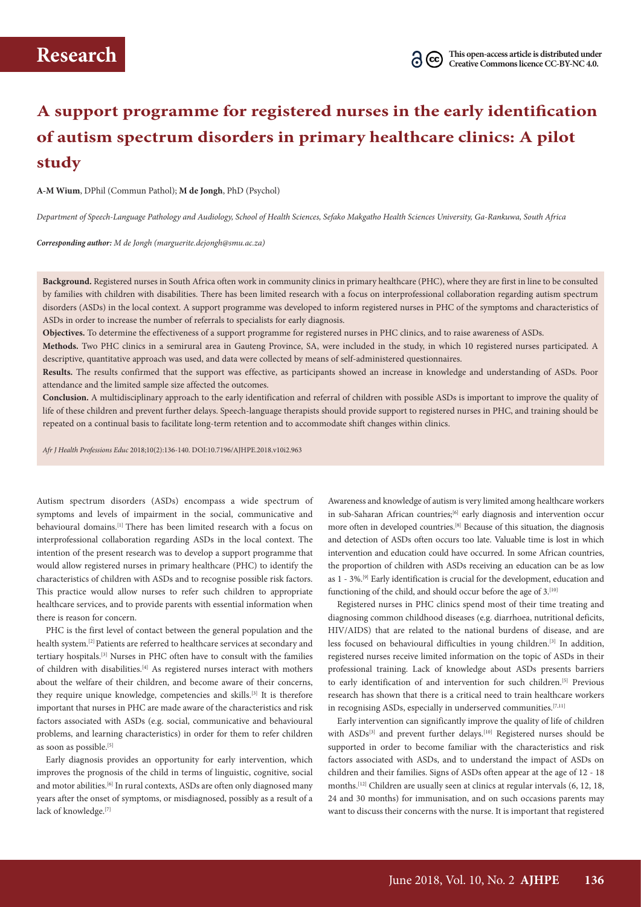# **A support programme for registered nurses in the early identification of autism spectrum disorders in primary healthcare clinics: A pilot study**

**A-M Wium**, DPhil (Commun Pathol); **M de Jongh**, PhD (Psychol)

*Department of Speech-Language Pathology and Audiology, School of Health Sciences, Sefako Makgatho Health Sciences University, Ga-Rankuwa, South Africa*

*Corresponding author: M de Jongh (marguerite.dejongh@smu.ac.za)*

**Background.** Registered nurses in South Africa often work in community clinics in primary healthcare (PHC), where they are first in line to be consulted by families with children with disabilities. There has been limited research with a focus on interprofessional collaboration regarding autism spectrum disorders (ASDs) in the local context. A support programme was developed to inform registered nurses in PHC of the symptoms and characteristics of ASDs in order to increase the number of referrals to specialists for early diagnosis.

**Objectives.** To determine the effectiveness of a support programme for registered nurses in PHC clinics, and to raise awareness of ASDs.

**Methods.** Two PHC clinics in a semirural area in Gauteng Province, SA, were included in the study, in which 10 registered nurses participated. A descriptive, quantitative approach was used, and data were collected by means of self-administered questionnaires.

**Results.** The results confirmed that the support was effective, as participants showed an increase in knowledge and understanding of ASDs. Poor attendance and the limited sample size affected the outcomes.

**Conclusion.** A multidisciplinary approach to the early identification and referral of children with possible ASDs is important to improve the quality of life of these children and prevent further delays. Speech-language therapists should provide support to registered nurses in PHC, and training should be repeated on a continual basis to facilitate long-term retention and to accommodate shift changes within clinics.

*Afr J Health Professions Educ* 2018;10(2):136-140. DOI:10.7196/AJHPE.2018.v10i2.963

Autism spectrum disorders (ASDs) encompass a wide spectrum of symptoms and levels of impairment in the social, communicative and behavioural domains.<sup>[1]</sup> There has been limited research with a focus on interprofessional collaboration regarding ASDs in the local context. The intention of the present research was to develop a support programme that would allow registered nurses in primary healthcare (PHC) to identify the characteristics of children with ASDs and to recognise possible risk factors. This practice would allow nurses to refer such children to appropriate healthcare services, and to provide parents with essential information when there is reason for concern.

PHC is the first level of contact between the general population and the health system.[2] Patients are referred to healthcare services at secondary and tertiary hospitals.[3] Nurses in PHC often have to consult with the families of children with disabilities.[4] As registered nurses interact with mothers about the welfare of their children, and become aware of their concerns, they require unique knowledge, competencies and skills.<sup>[3]</sup> It is therefore important that nurses in PHC are made aware of the characteristics and risk factors associated with ASDs (e.g. social, communicative and behavioural problems, and learning characteristics) in order for them to refer children as soon as possible.<sup>[5]</sup>

Early diagnosis provides an opportunity for early intervention, which improves the prognosis of the child in terms of linguistic, cognitive, social and motor abilities.<sup>[6]</sup> In rural contexts, ASDs are often only diagnosed many years after the onset of symptoms, or misdiagnosed, possibly as a result of a lack of knowledge.[7]

Awareness and knowledge of autism is very limited among healthcare workers in sub-Saharan African countries;<sup>[6]</sup> early diagnosis and intervention occur more often in developed countries.<sup>[8]</sup> Because of this situation, the diagnosis and detection of ASDs often occurs too late. Valuable time is lost in which intervention and education could have occurred. In some African countries, the proportion of children with ASDs receiving an education can be as low as 1 - 3%.<sup>[9]</sup> Early identification is crucial for the development, education and functioning of the child, and should occur before the age of 3.<sup>[10]</sup>

Registered nurses in PHC clinics spend most of their time treating and diagnosing common childhood diseases (e.g. diarrhoea, nutritional deficits, HIV/AIDS) that are related to the national burdens of disease, and are less focused on behavioural difficulties in young children.[3] In addition, registered nurses receive limited information on the topic of ASDs in their professional training. Lack of knowledge about ASDs presents barriers to early identification of and intervention for such children.<sup>[5]</sup> Previous research has shown that there is a critical need to train healthcare workers in recognising ASDs, especially in underserved communities.<sup>[7,11]</sup>

Early intervention can significantly improve the quality of life of children with ASDs<sup>[3]</sup> and prevent further delays.<sup>[10]</sup> Registered nurses should be supported in order to become familiar with the characteristics and risk factors associated with ASDs, and to understand the impact of ASDs on children and their families. Signs of ASDs often appear at the age of 12 - 18 months.<sup>[12]</sup> Children are usually seen at clinics at regular intervals (6, 12, 18, 24 and 30 months) for immunisation, and on such occasions parents may want to discuss their concerns with the nurse. It is important that registered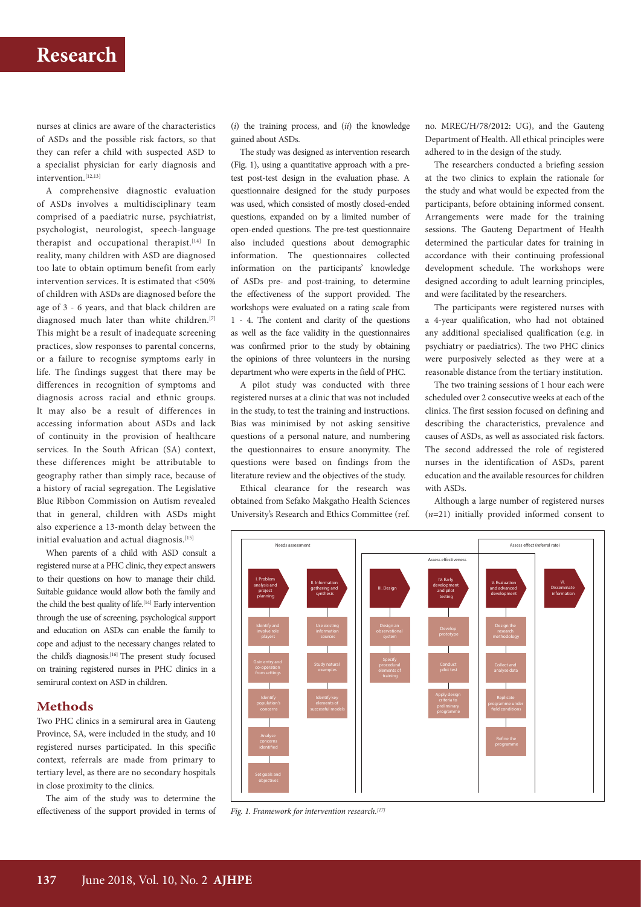nurses at clinics are aware of the characteristics of ASDs and the possible risk factors, so that they can refer a child with suspected ASD to a specialist physician for early diagnosis and  $\,$  intervention.  $\,^{[12,13]}$ 

A comprehensive diagnostic evaluation of ASDs involves a multidisciplinary team comprised of a paediatric nurse, psychiatrist, psychologist, neurologist, speech-language therapist and occupational therapist.<sup>[14]</sup> In reality, many children with ASD are diagnosed too late to obtain optimum benefit from early intervention services. It is estimated that <50% of children with ASDs are diagnosed before the age of 3 - 6 years, and that black children are diagnosed much later than white children.<sup>[7]</sup> This might be a result of inadequate screening practices, slow responses to parental concerns, or a failure to recognise symptoms early in life. The findings suggest that there may be differences in recognition of symptoms and diagnosis across racial and ethnic groups. It may also be a result of differences in accessing information about ASDs and lack of continuity in the provision of healthcare services. In the South African (SA) context, these differences might be attributable to geography rather than simply race, because of a history of racial segregation. The Legislative Blue Ribbon Commission on Autism revealed that in general, children with ASDs might also experience a 13-month delay between the initial evaluation and actual diagnosis.<sup>[15]</sup>

When parents of a child with ASD consult a registered nurse at a PHC clinic, they expect answers to their questions on how to manage their child. Suitable guidance would allow both the family and the child the best quality of life.<sup>[14]</sup> Early intervention through the use of screening, psychological support and education on ASDs can enable the family to cope and adjust to the necessary changes related to the child's diagnosis.<sup>[16]</sup> The present study focused on training registered nurses in PHC clinics in a semirural context on ASD in children.

## **Methods**

Two PHC clinics in a semirural area in Gauteng Province, SA, were included in the study, and 10 registered nurses participated. In this specific context, referrals are made from primary to tertiary level, as there are no secondary hospitals in close proximity to the clinics.

The aim of the study was to determine the effectiveness of the support provided in terms of (*i*) the training process, and (*ii*) the knowledge gained about ASDs.

The study was designed as intervention research (Fig. 1), using a quantitative approach with a pretest post-test design in the evaluation phase. A questionnaire designed for the study purposes was used, which consisted of mostly closed-ended questions, expanded on by a limited number of open-ended questions. The pre-test questionnaire also included questions about demographic information. The questionnaires collected information on the participants' knowledge of ASDs pre- and post-training, to determine the effectiveness of the support provided. The workshops were evaluated on a rating scale from 1 - 4. The content and clarity of the questions as well as the face validity in the questionnaires was confirmed prior to the study by obtaining the opinions of three volunteers in the nursing department who were experts in the field of PHC.

A pilot study was conducted with three registered nurses at a clinic that was not included in the study, to test the training and instructions. Bias was minimised by not asking sensitive questions of a personal nature, and numbering the questionnaires to ensure anonymity. The questions were based on findings from the literature review and the objectives of the study.

Ethical clearance for the research was obtained from Sefako Makgatho Health Sciences University's Research and Ethics Committee (ref.

no. MREC/H/78/2012: UG), and the Gauteng Department of Health. All ethical principles were adhered to in the design of the study.

The researchers conducted a briefing session at the two clinics to explain the rationale for the study and what would be expected from the participants, before obtaining informed consent. Arrangements were made for the training sessions. The Gauteng Department of Health determined the particular dates for training in accordance with their continuing professional development schedule. The workshops were designed according to adult learning principles, and were facilitated by the researchers.

The participants were registered nurses with a 4-year qualification, who had not obtained any additional specialised qualification (e.g. in psychiatry or paediatrics). The two PHC clinics were purposively selected as they were at a reasonable distance from the tertiary institution.

The two training sessions of 1 hour each were scheduled over 2 consecutive weeks at each of the clinics. The first session focused on defining and describing the characteristics, prevalence and causes of ASDs, as well as associated risk factors. The second addressed the role of registered nurses in the identification of ASDs, parent education and the available resources for children with ASDs.

Although a large number of registered nurses (*n*=21) initially provided informed consent to



*Fig. 1. Framework for intervention research.[17]*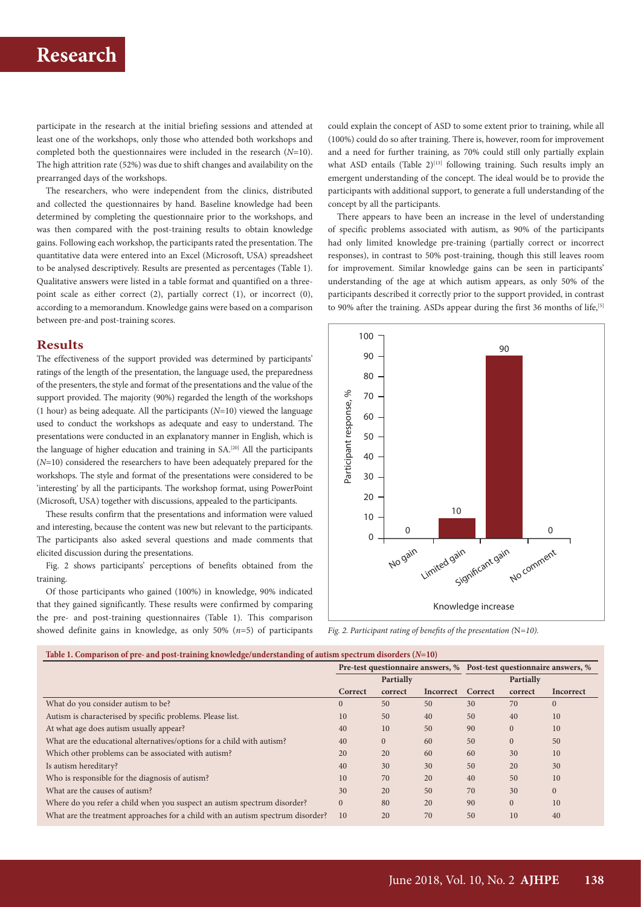participate in the research at the initial briefing sessions and attended at least one of the workshops, only those who attended both workshops and completed both the questionnaires were included in the research (*N*=10). The high attrition rate (52%) was due to shift changes and availability on the prearranged days of the workshops.

The researchers, who were independent from the clinics, distributed and collected the questionnaires by hand. Baseline knowledge had been determined by completing the questionnaire prior to the workshops, and was then compared with the post-training results to obtain knowledge gains. Following each workshop, the participants rated the presentation. The quantitative data were entered into an Excel (Microsoft, USA) spreadsheet to be analysed descriptively. Results are presented as percentages (Table 1). Qualitative answers were listed in a table format and quantified on a threepoint scale as either correct (2), partially correct (1), or incorrect (0), according to a memorandum. Knowledge gains were based on a comparison between pre-and post-training scores.

#### **Results**

The effectiveness of the support provided was determined by participants' ratings of the length of the presentation, the language used, the preparedness of the presenters, the style and format of the presentations and the value of the support provided. The majority (90%) regarded the length of the workshops (1 hour) as being adequate. All the participants (*N*=10) viewed the language used to conduct the workshops as adequate and easy to understand. The presentations were conducted in an explanatory manner in English, which is the language of higher education and training in SA.[20] All the participants (*N*=10) considered the researchers to have been adequately prepared for the workshops. The style and format of the presentations were considered to be 'interesting' by all the participants. The workshop format, using PowerPoint (Microsoft, USA) together with discussions, appealed to the participants.

These results confirm that the presentations and information were valued and interesting, because the content was new but relevant to the participants. The participants also asked several questions and made comments that elicited discussion during the presentations.

Fig. 2 shows participants' perceptions of benefits obtained from the training.

Of those participants who gained (100%) in knowledge, 90% indicated that they gained significantly. These results were confirmed by comparing the pre- and post-training questionnaires (Table 1). This comparison showed definite gains in knowledge, as only 50% (*n*=5) of participants could explain the concept of ASD to some extent prior to training, while all (100%) could do so after training. There is, however, room for improvement and a need for further training, as 70% could still only partially explain what ASD entails (Table  $2)^{[13]}$  following training. Such results imply an emergent understanding of the concept. The ideal would be to provide the participants with additional support, to generate a full understanding of the concept by all the participants.

There appears to have been an increase in the level of understanding of specific problems associated with autism, as 90% of the participants had only limited knowledge pre-training (partially correct or incorrect responses), in contrast to 50% post-training, though this still leaves room for improvement. Similar knowledge gains can be seen in participants' understanding of the age at which autism appears, as only 50% of the participants described it correctly prior to the support provided, in contrast to 90% after the training. ASDs appear during the first 36 months of life,<sup>[5]</sup>



|                                                                                 |                |          |           | Pre-test questionnaire answers, % Post-test questionnaire answers, % |          |           |
|---------------------------------------------------------------------------------|----------------|----------|-----------|----------------------------------------------------------------------|----------|-----------|
|                                                                                 | Partially      |          |           | Partially                                                            |          |           |
|                                                                                 | Correct        | correct  | Incorrect | Correct                                                              | correct  | Incorrect |
| What do you consider autism to be?                                              | $\overline{0}$ | 50       | 50        | 30                                                                   | 70       | $\Omega$  |
| Autism is characterised by specific problems. Please list.                      | 10             | 50       | 40        | 50                                                                   | 40       | 10        |
| At what age does autism usually appear?                                         | 40             | 10       | 50        | 90                                                                   | $\Omega$ | 10        |
| What are the educational alternatives/options for a child with autism?          | 40             | $\Omega$ | 60        | 50                                                                   | $\Omega$ | 50        |
| Which other problems can be associated with autism?                             | 20             | 20       | 60        | 60                                                                   | 30       | 10        |
| Is autism hereditary?                                                           | 40             | 30       | 30        | 50                                                                   | 20       | 30        |
| Who is responsible for the diagnosis of autism?                                 | 10             | 70       | 20        | 40                                                                   | 50       | 10        |
| What are the causes of autism?                                                  | 30             | 20       | 50        | 70                                                                   | 30       | $\Omega$  |
| Where do you refer a child when you suspect an autism spectrum disorder?        | $\Omega$       | 80       | 20        | 90                                                                   | $\Omega$ | 10        |
| What are the treatment approaches for a child with an autism spectrum disorder? | 10             | 20       | 70        | 50                                                                   | 10       | 40        |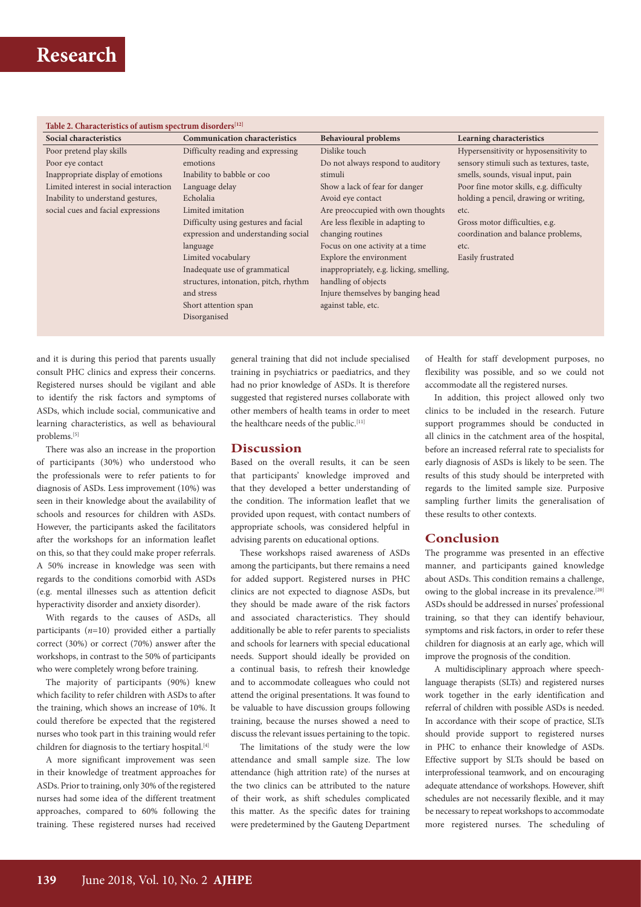### **Table 2. Characteristics of autism spectrum disorders[12]**

| <b>Communication characteristics</b>  | <b>Behavioural problems</b>              | Learning characteristics                 |  |
|---------------------------------------|------------------------------------------|------------------------------------------|--|
| Difficulty reading and expressing     | Dislike touch                            | Hypersensitivity or hyposensitivity to   |  |
| emotions                              | Do not always respond to auditory        | sensory stimuli such as textures, taste, |  |
| Inability to babble or coo            | stimuli                                  | smells, sounds, visual input, pain       |  |
| Language delay                        | Show a lack of fear for danger           | Poor fine motor skills, e.g. difficulty  |  |
| Echolalia                             | Avoid eye contact                        | holding a pencil, drawing or writing,    |  |
| Limited imitation                     | Are preoccupied with own thoughts        | etc.                                     |  |
| Difficulty using gestures and facial  | Are less flexible in adapting to         | Gross motor difficulties, e.g.           |  |
| expression and understanding social   | changing routines                        | coordination and balance problems,       |  |
| language                              | Focus on one activity at a time          | etc.                                     |  |
| Limited vocabulary                    | Explore the environment                  | Easily frustrated                        |  |
| Inadequate use of grammatical         | inappropriately, e.g. licking, smelling, |                                          |  |
| structures, intonation, pitch, rhythm | handling of objects                      |                                          |  |
| and stress                            | Injure themselves by banging head        |                                          |  |
| Short attention span                  | against table, etc.                      |                                          |  |
| Disorganised                          |                                          |                                          |  |
|                                       |                                          |                                          |  |

and it is during this period that parents usually consult PHC clinics and express their concerns. Registered nurses should be vigilant and able to identify the risk factors and symptoms of ASDs, which include social, communicative and learning characteristics, as well as behavioural problems.[5]

There was also an increase in the proportion of participants (30%) who understood who the professionals were to refer patients to for diagnosis of ASDs. Less improvement (10%) was seen in their knowledge about the availability of schools and resources for children with ASDs. However, the participants asked the facilitators after the workshops for an information leaflet on this, so that they could make proper referrals. A 50% increase in knowledge was seen with regards to the conditions comorbid with ASDs (e.g. mental illnesses such as attention deficit hyperactivity disorder and anxiety disorder).

With regards to the causes of ASDs, all participants (*n*=10) provided either a partially correct (30%) or correct (70%) answer after the workshops, in contrast to the 50% of participants who were completely wrong before training.

The majority of participants (90%) knew which facility to refer children with ASDs to after the training, which shows an increase of 10%. It could therefore be expected that the registered nurses who took part in this training would refer children for diagnosis to the tertiary hospital.<sup>[4]</sup>

A more significant improvement was seen in their knowledge of treatment approaches for ASDs. Prior to training, only 30% of the registered nurses had some idea of the different treatment approaches, compared to 60% following the training. These registered nurses had received general training that did not include specialised training in psychiatrics or paediatrics, and they had no prior knowledge of ASDs. It is therefore suggested that registered nurses collaborate with other members of health teams in order to meet the healthcare needs of the public.<sup>[11]</sup>

#### **Discussion**

Based on the overall results, it can be seen that participants' knowledge improved and that they developed a better understanding of the condition. The information leaflet that we provided upon request, with contact numbers of appropriate schools, was considered helpful in advising parents on educational options.

These workshops raised awareness of ASDs among the participants, but there remains a need for added support. Registered nurses in PHC clinics are not expected to diagnose ASDs, but they should be made aware of the risk factors and associated characteristics. They should additionally be able to refer parents to specialists and schools for learners with special educational needs. Support should ideally be provided on a continual basis, to refresh their knowledge and to accommodate colleagues who could not attend the original presentations. It was found to be valuable to have discussion groups following training, because the nurses showed a need to discuss the relevant issues pertaining to the topic.

The limitations of the study were the low attendance and small sample size. The low attendance (high attrition rate) of the nurses at the two clinics can be attributed to the nature of their work, as shift schedules complicated this matter. As the specific dates for training were predetermined by the Gauteng Department of Health for staff development purposes, no flexibility was possible, and so we could not accommodate all the registered nurses.

In addition, this project allowed only two clinics to be included in the research. Future support programmes should be conducted in all clinics in the catchment area of the hospital, before an increased referral rate to specialists for early diagnosis of ASDs is likely to be seen. The results of this study should be interpreted with regards to the limited sample size. Purposive sampling further limits the generalisation of these results to other contexts.

### **Conclusion**

The programme was presented in an effective manner, and participants gained knowledge about ASDs. This condition remains a challenge, owing to the global increase in its prevalence.<sup>[20]</sup> ASDs should be addressed in nurses' professional training, so that they can identify behaviour, symptoms and risk factors, in order to refer these children for diagnosis at an early age, which will improve the prognosis of the condition.

A multidisciplinary approach where speechlanguage therapists (SLTs) and registered nurses work together in the early identification and referral of children with possible ASDs is needed. In accordance with their scope of practice, SLTs should provide support to registered nurses in PHC to enhance their knowledge of ASDs. Effective support by SLTs should be based on interprofessional teamwork, and on encouraging adequate attendance of workshops. However, shift schedules are not necessarily flexible, and it may be necessary to repeat workshops to accommodate more registered nurses. The scheduling of